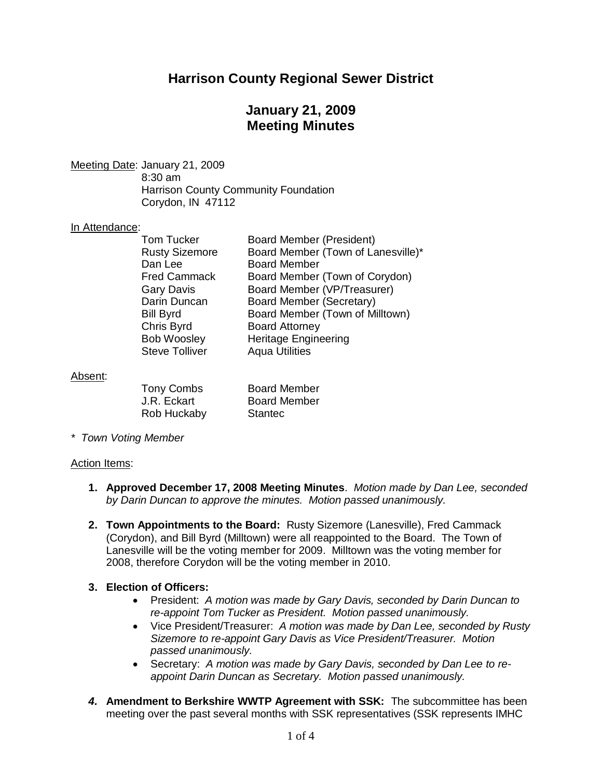## **Harrison County Regional Sewer District**

## **January 21, 2009 Meeting Minutes**

Meeting Date: January 21, 2009 8:30 am Harrison County Community Foundation

Corydon, IN 47112

#### In Attendance:

| <b>Tom Tucker</b><br><b>Rusty Sizemore</b><br>Dan Lee<br><b>Fred Cammack</b><br><b>Gary Davis</b><br>Darin Duncan | <b>Board Member (President)</b><br>Board Member (Town of Lanesville)*<br><b>Board Member</b><br>Board Member (Town of Corydon)<br>Board Member (VP/Treasurer)<br>Board Member (Secretary) |
|-------------------------------------------------------------------------------------------------------------------|-------------------------------------------------------------------------------------------------------------------------------------------------------------------------------------------|
|                                                                                                                   |                                                                                                                                                                                           |
|                                                                                                                   |                                                                                                                                                                                           |
|                                                                                                                   |                                                                                                                                                                                           |
| Bill Byrd                                                                                                         | Board Member (Town of Milltown)                                                                                                                                                           |
| Chris Byrd                                                                                                        | <b>Board Attorney</b>                                                                                                                                                                     |
| <b>Bob Woosley</b>                                                                                                | Heritage Engineering                                                                                                                                                                      |
| <b>Steve Tolliver</b>                                                                                             | <b>Aqua Utilities</b>                                                                                                                                                                     |
|                                                                                                                   |                                                                                                                                                                                           |

Absent:

| Tony Combs  | <b>Board Member</b> |
|-------------|---------------------|
| J.R. Eckart | <b>Board Member</b> |
| Rob Huckaby | <b>Stantec</b>      |

*\* Town Voting Member*

#### Action Items:

- **1. Approved December 17, 2008 Meeting Minutes**. *Motion made by Dan Lee, seconded by Darin Duncan to approve the minutes. Motion passed unanimously.*
- **2. Town Appointments to the Board:** Rusty Sizemore (Lanesville), Fred Cammack (Corydon), and Bill Byrd (Milltown) were all reappointed to the Board. The Town of Lanesville will be the voting member for 2009. Milltown was the voting member for 2008, therefore Corydon will be the voting member in 2010.

#### **3. Election of Officers:**

- President: *A motion was made by Gary Davis, seconded by Darin Duncan to re-appoint Tom Tucker as President. Motion passed unanimously.*
- Vice President/Treasurer: *A motion was made by Dan Lee, seconded by Rusty Sizemore to re-appoint Gary Davis as Vice President/Treasurer. Motion passed unanimously.*
- Secretary: *A motion was made by Gary Davis, seconded by Dan Lee to reappoint Darin Duncan as Secretary. Motion passed unanimously.*
- *4.* **Amendment to Berkshire WWTP Agreement with SSK:** The subcommittee has been meeting over the past several months with SSK representatives (SSK represents IMHC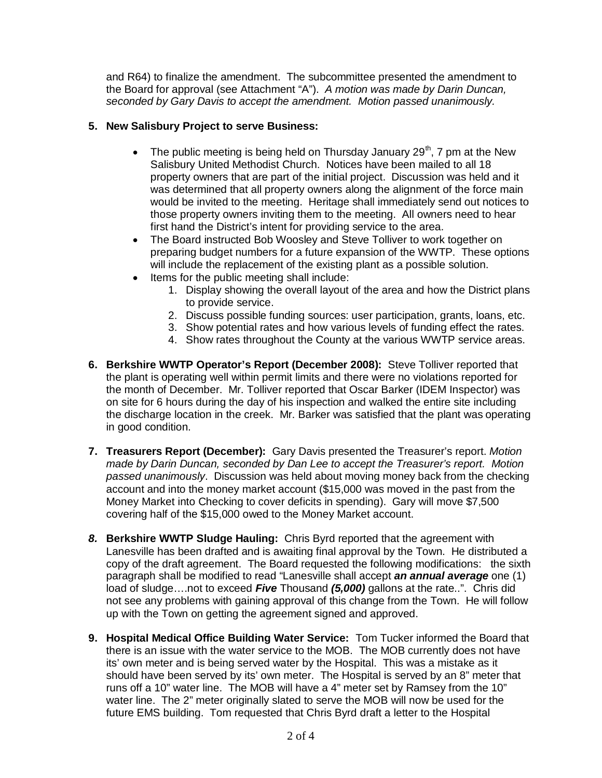and R64) to finalize the amendment. The subcommittee presented the amendment to the Board for approval (see Attachment "A"). *A motion was made by Darin Duncan, seconded by Gary Davis to accept the amendment. Motion passed unanimously.*

#### **5. New Salisbury Project to serve Business:**

- The public meeting is being held on Thursday January  $29<sup>th</sup>$ , 7 pm at the New Salisbury United Methodist Church. Notices have been mailed to all 18 property owners that are part of the initial project. Discussion was held and it was determined that all property owners along the alignment of the force main would be invited to the meeting. Heritage shall immediately send out notices to those property owners inviting them to the meeting. All owners need to hear first hand the District's intent for providing service to the area.
- The Board instructed Bob Woosley and Steve Tolliver to work together on preparing budget numbers for a future expansion of the WWTP. These options will include the replacement of the existing plant as a possible solution.
- Items for the public meeting shall include:
	- 1. Display showing the overall layout of the area and how the District plans to provide service.
	- 2. Discuss possible funding sources: user participation, grants, loans, etc.
	- 3. Show potential rates and how various levels of funding effect the rates.
	- 4. Show rates throughout the County at the various WWTP service areas.
- **6. Berkshire WWTP Operator's Report (December 2008):** Steve Tolliver reported that the plant is operating well within permit limits and there were no violations reported for the month of December. Mr. Tolliver reported that Oscar Barker (IDEM Inspector) was on site for 6 hours during the day of his inspection and walked the entire site including the discharge location in the creek. Mr. Barker was satisfied that the plant was operating in good condition.
- **7. Treasurers Report (December):** Gary Davis presented the Treasurer's report. *Motion made by Darin Duncan, seconded by Dan Lee to accept the Treasurer's report. Motion passed unanimously*. Discussion was held about moving money back from the checking account and into the money market account (\$15,000 was moved in the past from the Money Market into Checking to cover deficits in spending). Gary will move \$7,500 covering half of the \$15,000 owed to the Money Market account.
- *8.* **Berkshire WWTP Sludge Hauling:** Chris Byrd reported that the agreement with Lanesville has been drafted and is awaiting final approval by the Town. He distributed a copy of the draft agreement. The Board requested the following modifications: the sixth paragraph shall be modified to read "Lanesville shall accept *an annual average* one (1) load of sludge….not to exceed *Five* Thousand *(5,000)* gallons at the rate..". Chris did not see any problems with gaining approval of this change from the Town. He will follow up with the Town on getting the agreement signed and approved.
- **9. Hospital Medical Office Building Water Service:** Tom Tucker informed the Board that there is an issue with the water service to the MOB. The MOB currently does not have its' own meter and is being served water by the Hospital. This was a mistake as it should have been served by its' own meter. The Hospital is served by an 8" meter that runs off a 10" water line. The MOB will have a 4" meter set by Ramsey from the 10" water line. The 2" meter originally slated to serve the MOB will now be used for the future EMS building. Tom requested that Chris Byrd draft a letter to the Hospital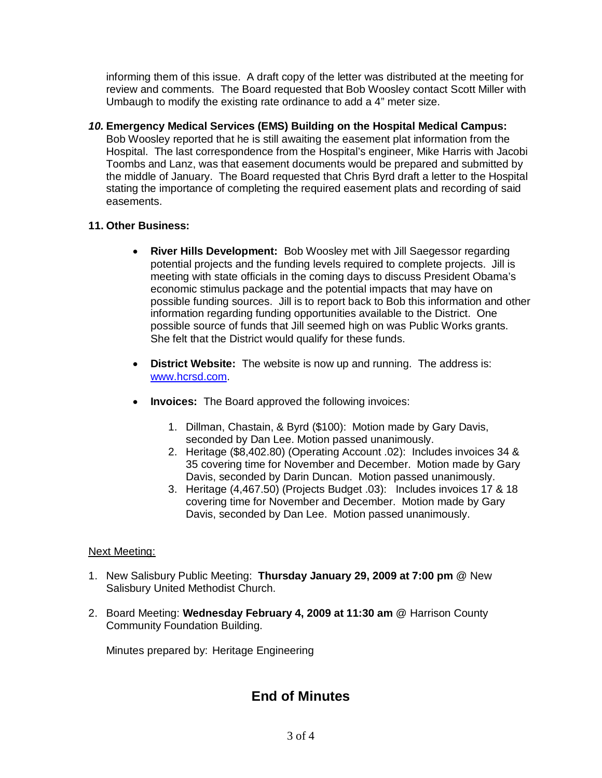informing them of this issue. A draft copy of the letter was distributed at the meeting for review and comments. The Board requested that Bob Woosley contact Scott Miller with Umbaugh to modify the existing rate ordinance to add a 4" meter size.

*10.* **Emergency Medical Services (EMS) Building on the Hospital Medical Campus:** Bob Woosley reported that he is still awaiting the easement plat information from the Hospital. The last correspondence from the Hospital's engineer, Mike Harris with Jacobi Toombs and Lanz, was that easement documents would be prepared and submitted by the middle of January. The Board requested that Chris Byrd draft a letter to the Hospital stating the importance of completing the required easement plats and recording of said easements.

#### **11. Other Business:**

- **River Hills Development:** Bob Woosley met with Jill Saegessor regarding potential projects and the funding levels required to complete projects. Jill is meeting with state officials in the coming days to discuss President Obama's economic stimulus package and the potential impacts that may have on possible funding sources. Jill is to report back to Bob this information and other information regarding funding opportunities available to the District. One possible source of funds that Jill seemed high on was Public Works grants. She felt that the District would qualify for these funds.
- **District Website:** The website is now up and running. The address is: [www.hcrsd.com.](www.hcrsd.com)
- **Invoices:** The Board approved the following invoices:
	- 1. Dillman, Chastain, & Byrd (\$100): Motion made by Gary Davis, seconded by Dan Lee. Motion passed unanimously.
	- 2. Heritage (\$8,402.80) (Operating Account .02): Includes invoices 34 & 35 covering time for November and December. Motion made by Gary Davis, seconded by Darin Duncan. Motion passed unanimously.
	- 3. Heritage (4,467.50) (Projects Budget .03): Includes invoices 17 & 18 covering time for November and December. Motion made by Gary Davis, seconded by Dan Lee. Motion passed unanimously.

### Next Meeting:

- 1. New Salisbury Public Meeting: **Thursday January 29, 2009 at 7:00 pm** @ New Salisbury United Methodist Church.
- 2. Board Meeting: **Wednesday February 4, 2009 at 11:30 am** @ Harrison County Community Foundation Building.

Minutes prepared by: Heritage Engineering

# **End of Minutes**